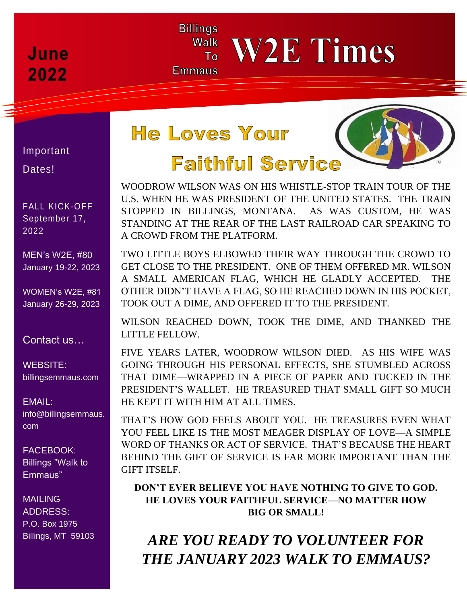## **June** 2022

# **He Loves Your**

 $To$ 

**Billings Walk** 

**Emmaus** 



Important Dates!

FALL KICK-OFF September 17, 2022

MEN's W2E, #80 January 19-22, 2023

WOMEN's W2E, #81 January 26-29, 2023

#### Contact us…

WEBSITE: billingsemmaus.com

EMAIL: info@billingsemmaus. com

FACEBOOK: Billings "Walk to Emmaus"

**MAILING** ADDRESS: P.O. Box 1975 Billings, MT 59103

# **Faithful Service**

 A CROWD FROM THE PLATFORM. WOODROW WILSON WAS ON HIS WHISTLE-STOP TRAIN TOUR OF THE U.S. WHEN HE WAS PRESIDENT OF THE UNITED STATES. THE TRAIN STOPPED IN BILLINGS, MONTANA. AS WAS CUSTOM, HE WAS STANDING AT THE REAR OF THE LAST RAILROAD CAR SPEAKING TO

**W2E Times** 

TWO LITTLE BOYS ELBOWED THEIR WAY THROUGH THE CROWD TO GET CLOSE TO THE PRESIDENT. ONE OF THEM OFFERED MR. WILSON A SMALL AMERICAN FLAG, WHICH HE GLADLY ACCEPTED. THE OTHER DIDN'T HAVE A FLAG, SO HE REACHED DOWN IN HIS POCKET, TOOK OUT A DIME, AND OFFERED IT TO THE PRESIDENT.

WILSON REACHED DOWN, TOOK THE DIME, AND THANKED THE LITTLE FELLOW.

FIVE YEARS LATER, WOODROW WILSON DIED. AS HIS WIFE WAS GOING THROUGH HIS PERSONAL EFFECTS, SHE STUMBLED ACROSS THAT DIME—WRAPPED IN A PIECE OF PAPER AND TUCKED IN THE PRESIDENT'S WALLET. HE TREASURED THAT SMALL GIFT SO MUCH HE KEPT IT WITH HIM AT ALL TIMES.

THAT'S HOW GOD FEELS ABOUT YOU. HE TREASURES EVEN WHAT YOU FEEL LIKE IS THE MOST MEAGER DISPLAY OF LOVE—A SIMPLE WORD OF THANKS OR ACT OF SERVICE. THAT'S BECAUSE THE HEART BEHIND THE GIFT OF SERVICE IS FAR MORE IMPORTANT THAN THE GIFT ITSELF.

**DON'T EVER BELIEVE YOU HAVE NOTHING TO GIVE TO GOD. HE LOVES YOUR FAITHFUL SERVICE—NO MATTER HOW BIG OR SMALL!**

*ARE YOU READY TO VOLUNTEER FOR THE JANUARY 2023 WALK TO EMMAUS?*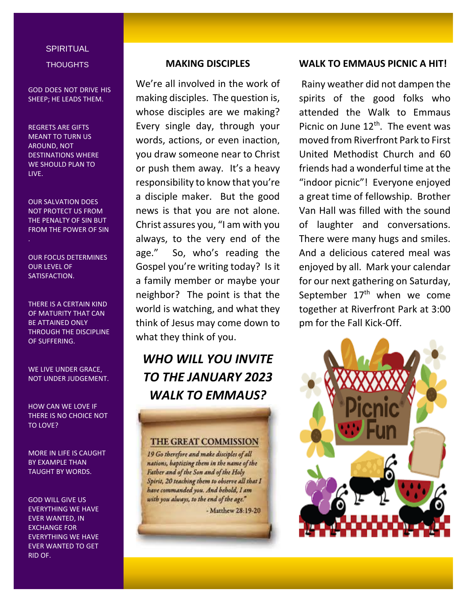### **SPIRITUAL THOUGHTS**

GOD DOES NOT DRIVE HIS SHEEP; HE LEADS THEM.

#### REGRETS ARE GIFTS MEANT TO TURN US AROUND, NOT DESTINATIONS WHERE WE SHOULD PLAN TO LIVE.

OUR SALVATION DOES NOT PROTECT US FROM THE PENALTY OF SIN BUT FROM THE POWER OF SIN

OUR FOCUS DETERMINES OUR LEVEL OF SATISFACTION.

THERE IS A CERTAIN KIND OF MATURITY THAT CAN BE ATTAINED ONLY THROUGH THE DISCIPLINE OF SUFFERING.

WE LIVE UNDER GRACE, NOT UNDER JUDGEMENT.

HOW CAN WE LOVE IF THERE IS NO CHOICE NOT TO LOVE?

MORE IN LIFE IS CAUGHT BY EXAMPLE THAN TAUGHT BY WORDS.

GOD WILL GIVE US EVERYTHING WE HAVE EVER WANTED, IN EXCHANGE FOR EVERYTHING WE HAVE EVER WANTED TO GET RID OF.

#### **MAKING DISCIPLES**

We're all involved in the work of making disciples. The question is, whose disciples are we making? Every single day, through your words, actions, or even inaction, you draw someone near to Christ or push them away. It's a heavy responsibility to know that you're a disciple maker. But the good news is that you are not alone. Christ assures you, "I am with you always, to the very end of the age." So, who's reading the Gospel you're writing today? Is it a family member or maybe your neighbor? The point is that the world is watching, and what they think of Jesus may come down to what they think of you.

### *WHO WILL YOU INVITE TO THE JANUARY 2023 WALK TO EMMAUS?*

#### **THE GREAT COMMISSION**

19 Go therefore and make disciples of all nations, baptizing them in the name of the Father and of the Son and of the Holy Spirit, 20 teaching them to observe all that I have commanded you. And behold, I am with you always, to the end of the age."

- Matthew 28:19-20

#### **WALK TO EMMAUS PICNIC A HIT!**

Rainy weather did not dampen the spirits of the good folks who attended the Walk to Emmaus Picnic on June  $12<sup>th</sup>$ . The event was moved from Riverfront Park to First United Methodist Church and 60 friends had a wonderful time at the "indoor picnic"! Everyone enjoyed a great time of fellowship. Brother Van Hall was filled with the sound of laughter and conversations. There were many hugs and smiles. And a delicious catered meal was enjoyed by all. Mark your calendar for our next gathering on Saturday, September  $17<sup>th</sup>$  when we come together at Riverfront Park at 3:00 pm for the Fall Kick-Off.